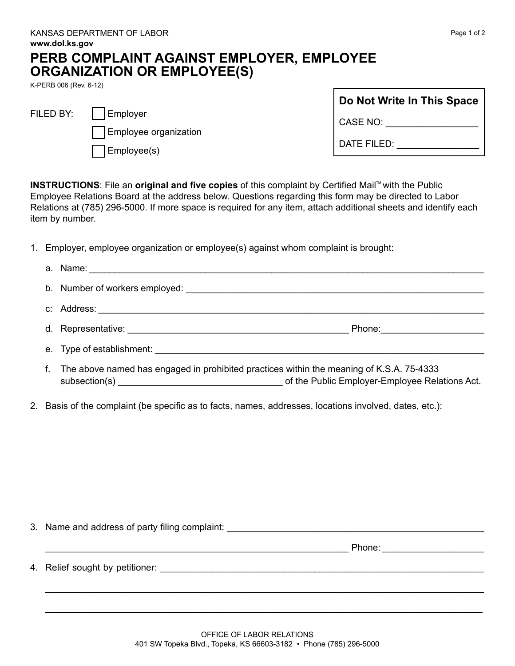## **PERB COMPLAINT AGAINST EMPLOYER, EMPLOYEE ORGANIZATION OR EMPLOYEE(S)**

K-PERB 006 (Rev. 6-12)

| FILED BY:   Employer        |
|-----------------------------|
| Employee organization       |
| $\vert$ $\vert$ Employee(s) |

| Do Not Write In This Space |  |  |
|----------------------------|--|--|
| CASE NO:                   |  |  |
| DATE FILED:                |  |  |

**INSTRUCTIONS:** File an **original and five copies** of this complaint by Certified Mail™ with the Public Employee Relations Board at the address below. Questions regarding this form may be directed to Labor Relations at (785) 296-5000. If more space is required for any item, attach additional sheets and identify each item by number.

1. Employer, employee organization or employee(s) against whom complaint is brought:

| f. | The above named has engaged in prohibited practices within the meaning of K.S.A. 75-4333 |  |
|----|------------------------------------------------------------------------------------------|--|

2. Basis of the complaint (be specific as to facts, names, addresses, locations involved, dates, etc.):

3. Name and address of party filing complaint:

 $\blacksquare$  Phone:  $\blacksquare$   $\blacksquare$   $\blacksquare$   $\blacksquare$   $\blacksquare$   $\blacksquare$   $\blacksquare$   $\blacksquare$   $\blacksquare$   $\blacksquare$   $\blacksquare$   $\blacksquare$   $\blacksquare$   $\blacksquare$   $\blacksquare$   $\blacksquare$   $\blacksquare$   $\blacksquare$   $\blacksquare$   $\blacksquare$   $\blacksquare$   $\blacksquare$   $\blacksquare$   $\blacksquare$   $\blacksquare$   $\blacksquare$   $\blacksquare$   $\blacksquare$   $\blacksquare$   $\blacks$ 

4. Relief sought by petitioner: \_\_\_\_\_\_\_\_\_\_\_\_\_\_\_\_\_\_\_\_\_\_\_\_\_\_\_\_\_\_\_\_\_\_\_\_\_\_\_\_\_\_\_\_\_\_\_\_\_\_\_\_\_\_\_\_\_\_\_\_\_\_\_

\_\_\_\_\_\_\_\_\_\_\_\_\_\_\_\_\_\_\_\_\_\_\_\_\_\_\_\_\_\_\_\_\_\_\_\_\_\_\_\_\_\_\_\_\_\_\_\_\_\_\_\_\_\_\_\_\_\_\_\_\_\_\_\_\_\_\_\_\_\_\_\_\_\_\_\_\_\_\_\_\_\_\_\_\_

\_\_\_\_\_\_\_\_\_\_\_\_\_\_\_\_\_\_\_\_\_\_\_\_\_\_\_\_\_\_\_\_\_\_\_\_\_\_\_\_\_\_\_\_\_\_\_\_\_\_\_\_\_\_\_\_\_\_\_\_\_\_\_\_\_\_\_\_\_\_\_\_\_\_\_\_\_\_\_\_\_\_\_\_\_